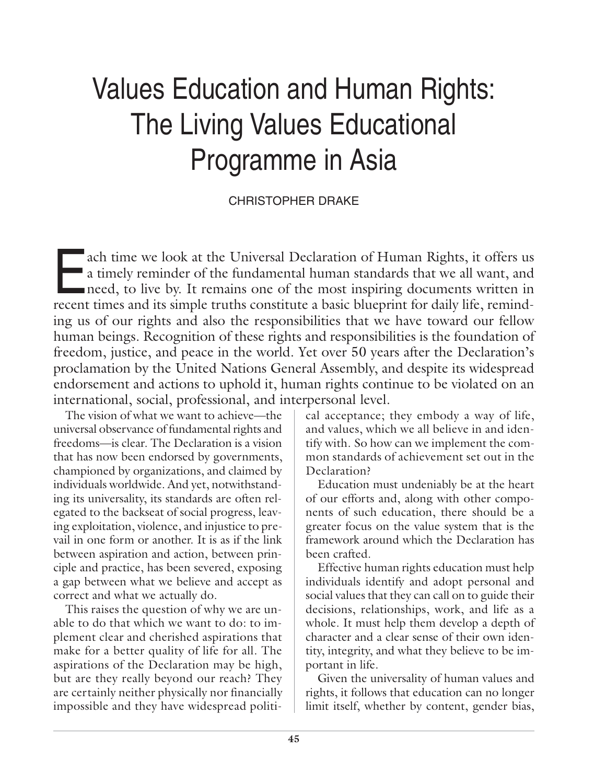# Values Education and Human Rights: The Living Values Educational Programme in Asia

# CHRISTOPHER DRAKE

a time we look at the Universal Declaration of Human Rights, it offers us<br>a timely reminder of the fundamental human standards that we all want, and<br>need, to live by. It remains one of the most inspiring documents written a timely reminder of the fundamental human standards that we all want, and need, to live by. It remains one of the most inspiring documents written in recent times and its simple truths constitute a basic blueprint for daily life, reminding us of our rights and also the responsibilities that we have toward our fellow human beings. Recognition of these rights and responsibilities is the foundation of freedom, justice, and peace in the world. Yet over 50 years after the Declaration's proclamation by the United Nations General Assembly, and despite its widespread endorsement and actions to uphold it, human rights continue to be violated on an international, social, professional, and interpersonal level.

The vision of what we want to achieve—the universal observance of fundamental rights and freedoms—is clear. The Declaration is a vision that has now been endorsed by governments, championed by organizations, and claimed by individuals worldwide. And yet, notwithstanding its universality, its standards are often relegated to the backseat of social progress, leaving exploitation, violence, and injustice to prevail in one form or another. It is as if the link between aspiration and action, between principle and practice, has been severed, exposing a gap between what we believe and accept as correct and what we actually do.

This raises the question of why we are unable to do that which we want to do: to implement clear and cherished aspirations that make for a better quality of life for all. The aspirations of the Declaration may be high, but are they really beyond our reach? They are certainly neither physically nor financially impossible and they have widespread political acceptance; they embody a way of life, and values, which we all believe in and identify with. So how can we implement the common standards of achievement set out in the Declaration?

Education must undeniably be at the heart of our efforts and, along with other components of such education, there should be a greater focus on the value system that is the framework around which the Declaration has been crafted.

Effective human rights education must help individuals identify and adopt personal and social values that they can call on to guide their decisions, relationships, work, and life as a whole. It must help them develop a depth of character and a clear sense of their own identity, integrity, and what they believe to be important in life.

Given the universality of human values and rights, it follows that education can no longer limit itself, whether by content, gender bias,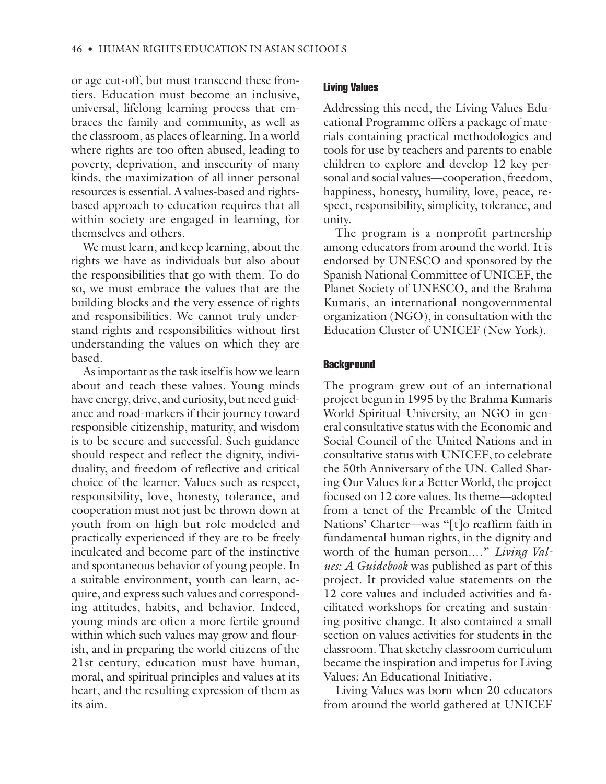or age cut-off, but must transcend these frontiers. Education must become an inclusive, universal, lifelong learning process that embraces the family and community, as well as the classroom, as places of learning. In a world where rights are too often abused, leading to poverty, deprivation, and insecurity of many kinds, the maximization of all inner personal resources is essential. A values-based and rightsbased approach to education requires that all within society are engaged in learning, for themselves and others.

We must learn, and keep learning, about the rights we have as individuals but also about the responsibilities that go with them. To do so, we must embrace the values that are the building blocks and the very essence of rights and responsibilities. We cannot truly understand rights and responsibilities without first understanding the values on which they are based.

As important as the task itself is how we learn about and teach these values. Young minds have energy, drive, and curiosity, but need guidance and road-markers if their journey toward responsible citizenship, maturity, and wisdom is to be secure and successful. Such guidance should respect and reflect the dignity, individuality, and freedom of reflective and critical choice of the learner. Values such as respect, responsibility, love, honesty, tolerance, and cooperation must not just be thrown down at youth from on high but role modeled and practically experienced if they are to be freely inculcated and become part of the instinctive and spontaneous behavior of young people. In a suitable environment, youth can learn, acquire, and express such values and corresponding attitudes, habits, and behavior. Indeed, young minds are often a more fertile ground within which such values may grow and flourish, and in preparing the world citizens of the 21st century, education must have human, moral, and spiritual principles and values at its heart, and the resulting expression of them as its aim.

#### Living Values

Addressing this need, the Living Values Educational Programme offers a package of materials containing practical methodologies and tools for use by teachers and parents to enable children to explore and develop 12 key personal and social values—cooperation, freedom, happiness, honesty, humility, love, peace, respect, responsibility, simplicity, tolerance, and unity.

The program is a nonprofit partnership among educators from around the world. It is endorsed by UNESCO and sponsored by the Spanish National Committee of UNICEF, the Planet Society of UNESCO, and the Brahma Kumaris, an international nongovernmental organization (NGO), in consultation with the Education Cluster of UNICEF (New York).

#### **Background**

The program grew out of an international project begun in 1995 by the Brahma Kumaris World Spiritual University, an NGO in general consultative status with the Economic and Social Council of the United Nations and in consultative status with UNICEF, to celebrate the 50th Anniversary of the UN. Called Sharing Our Values for a Better World, the project focused on 12 core values. Its theme—adopted from a tenet of the Preamble of the United Nations' Charter—was "[t]o reaffirm faith in fundamental human rights, in the dignity and worth of the human person.…" *Living Values: A Guidebook* was published as part of this project. It provided value statements on the 12 core values and included activities and facilitated workshops for creating and sustaining positive change. It also contained a small section on values activities for students in the classroom. That sketchy classroom curriculum became the inspiration and impetus for Living Values: An Educational Initiative.

Living Values was born when 20 educators from around the world gathered at UNICEF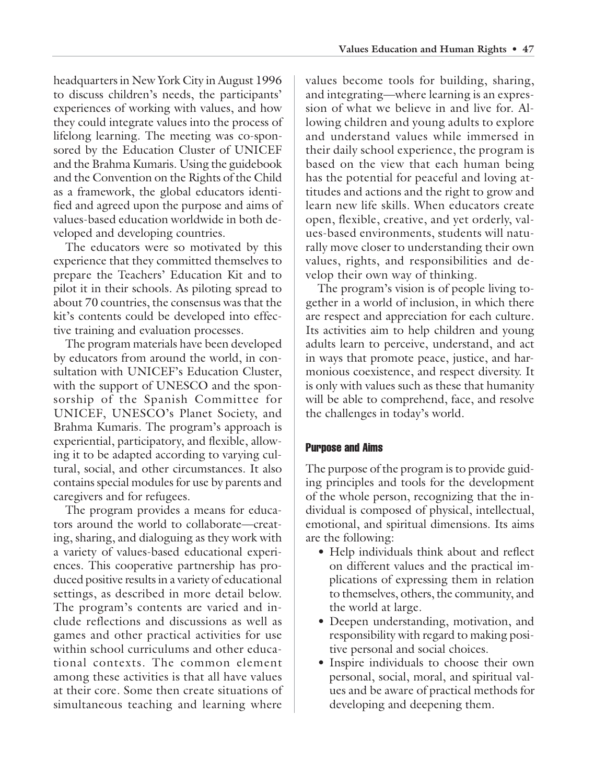headquarters in New York City in August 1996 to discuss children's needs, the participants' experiences of working with values, and how they could integrate values into the process of lifelong learning. The meeting was co-sponsored by the Education Cluster of UNICEF and the Brahma Kumaris. Using the guidebook and the Convention on the Rights of the Child as a framework, the global educators identified and agreed upon the purpose and aims of values-based education worldwide in both developed and developing countries.

The educators were so motivated by this experience that they committed themselves to prepare the Teachers' Education Kit and to pilot it in their schools. As piloting spread to about 70 countries, the consensus was that the kit's contents could be developed into effective training and evaluation processes.

The program materials have been developed by educators from around the world, in consultation with UNICEF's Education Cluster, with the support of UNESCO and the sponsorship of the Spanish Committee for UNICEF, UNESCO's Planet Society, and Brahma Kumaris. The program's approach is experiential, participatory, and flexible, allowing it to be adapted according to varying cultural, social, and other circumstances. It also contains special modules for use by parents and caregivers and for refugees.

The program provides a means for educators around the world to collaborate—creating, sharing, and dialoguing as they work with a variety of values-based educational experiences. This cooperative partnership has produced positive results in a variety of educational settings, as described in more detail below. The program's contents are varied and include reflections and discussions as well as games and other practical activities for use within school curriculums and other educational contexts. The common element among these activities is that all have values at their core. Some then create situations of simultaneous teaching and learning where

values become tools for building, sharing, and integrating—where learning is an expression of what we believe in and live for. Allowing children and young adults to explore and understand values while immersed in their daily school experience, the program is based on the view that each human being has the potential for peaceful and loving attitudes and actions and the right to grow and learn new life skills. When educators create open, flexible, creative, and yet orderly, values-based environments, students will naturally move closer to understanding their own values, rights, and responsibilities and develop their own way of thinking.

The program's vision is of people living together in a world of inclusion, in which there are respect and appreciation for each culture. Its activities aim to help children and young adults learn to perceive, understand, and act in ways that promote peace, justice, and harmonious coexistence, and respect diversity. It is only with values such as these that humanity will be able to comprehend, face, and resolve the challenges in today's world.

## Purpose and Aims

The purpose of the program is to provide guiding principles and tools for the development of the whole person, recognizing that the individual is composed of physical, intellectual, emotional, and spiritual dimensions. Its aims are the following:

- Help individuals think about and reflect on different values and the practical implications of expressing them in relation to themselves, others, the community, and the world at large.
- Deepen understanding, motivation, and responsibility with regard to making positive personal and social choices.
- Inspire individuals to choose their own personal, social, moral, and spiritual values and be aware of practical methods for developing and deepening them.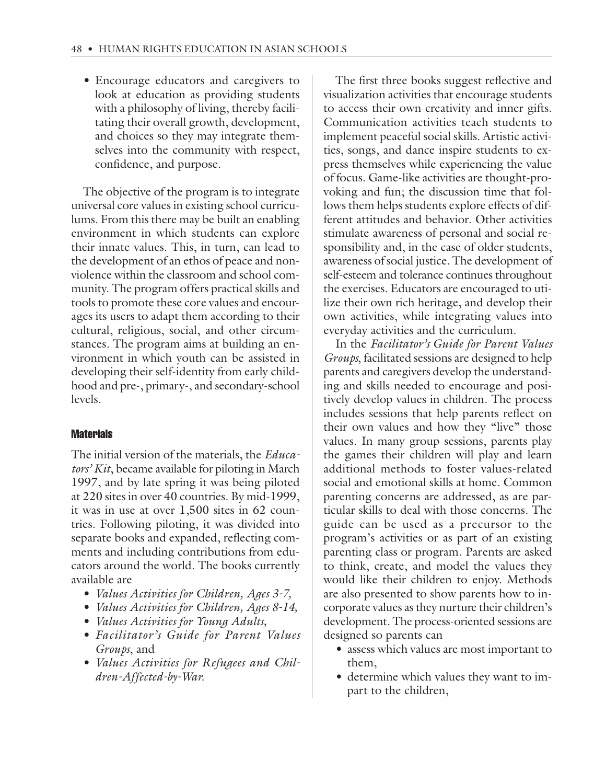• Encourage educators and caregivers to look at education as providing students with a philosophy of living, thereby facilitating their overall growth, development, and choices so they may integrate themselves into the community with respect, confidence, and purpose.

The objective of the program is to integrate universal core values in existing school curriculums. From this there may be built an enabling environment in which students can explore their innate values. This, in turn, can lead to the development of an ethos of peace and nonviolence within the classroom and school community. The program offers practical skills and tools to promote these core values and encourages its users to adapt them according to their cultural, religious, social, and other circumstances. The program aims at building an environment in which youth can be assisted in developing their self-identity from early childhood and pre-, primary-, and secondary-school levels.

### **Materials**

The initial version of the materials, the *Educators' Kit*, became available for piloting in March 1997, and by late spring it was being piloted at 220 sites in over 40 countries. By mid-1999, it was in use at over 1,500 sites in 62 countries. Following piloting, it was divided into separate books and expanded, reflecting comments and including contributions from educators around the world. The books currently available are

- *Values Activities for Children, Ages 3-7,*
- *Values Activities for Children, Ages 8-14,*
- *Values Activities for Young Adults,*
- *Facilitator's Guide for Parent Values Groups*, and
- *Values Activities for Refugees and Children-Affected-by-War.*

The first three books suggest reflective and visualization activities that encourage students to access their own creativity and inner gifts. Communication activities teach students to implement peaceful social skills. Artistic activities, songs, and dance inspire students to express themselves while experiencing the value of focus. Game-like activities are thought-provoking and fun; the discussion time that follows them helps students explore effects of different attitudes and behavior. Other activities stimulate awareness of personal and social responsibility and, in the case of older students, awareness of social justice. The development of self-esteem and tolerance continues throughout the exercises. Educators are encouraged to utilize their own rich heritage, and develop their own activities, while integrating values into everyday activities and the curriculum.

In the *Facilitator's Guide for Parent Values Groups*, facilitated sessions are designed to help parents and caregivers develop the understanding and skills needed to encourage and positively develop values in children. The process includes sessions that help parents reflect on their own values and how they "live" those values. In many group sessions, parents play the games their children will play and learn additional methods to foster values-related social and emotional skills at home. Common parenting concerns are addressed, as are particular skills to deal with those concerns. The guide can be used as a precursor to the program's activities or as part of an existing parenting class or program. Parents are asked to think, create, and model the values they would like their children to enjoy. Methods are also presented to show parents how to incorporate values as they nurture their children's development. The process-oriented sessions are designed so parents can

- assess which values are most important to them,
- determine which values they want to impart to the children,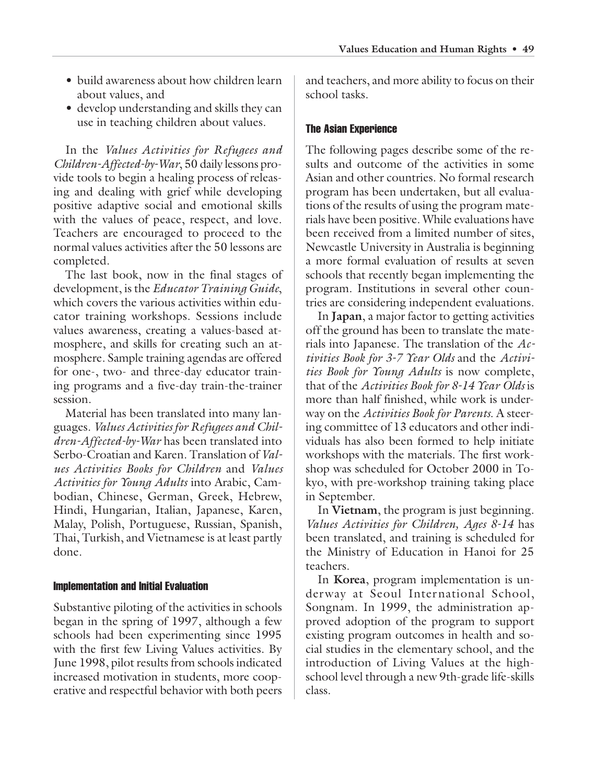- build awareness about how children learn about values, and
- develop understanding and skills they can use in teaching children about values.

In the *Values Activities for Refugees and Children-Affected-by-War*, 50 daily lessons provide tools to begin a healing process of releasing and dealing with grief while developing positive adaptive social and emotional skills with the values of peace, respect, and love. Teachers are encouraged to proceed to the normal values activities after the 50 lessons are completed.

The last book, now in the final stages of development, is the *Educator Training Guide*, which covers the various activities within educator training workshops. Sessions include values awareness, creating a values-based atmosphere, and skills for creating such an atmosphere. Sample training agendas are offered for one-, two- and three-day educator training programs and a five-day train-the-trainer session.

Material has been translated into many languages. *Values Activities for Refugees and Children-Affected-by-War* has been translated into Serbo-Croatian and Karen. Translation of *Values Activities Books for Children* and *Values Activities for Young Adults* into Arabic, Cambodian, Chinese, German, Greek, Hebrew, Hindi, Hungarian, Italian, Japanese, Karen, Malay, Polish, Portuguese, Russian, Spanish, Thai, Turkish, and Vietnamese is at least partly done.

# Implementation and Initial Evaluation

Substantive piloting of the activities in schools began in the spring of 1997, although a few schools had been experimenting since 1995 with the first few Living Values activities. By June 1998, pilot results from schools indicated increased motivation in students, more cooperative and respectful behavior with both peers

and teachers, and more ability to focus on their school tasks.

# The Asian Experience

The following pages describe some of the results and outcome of the activities in some Asian and other countries. No formal research program has been undertaken, but all evaluations of the results of using the program materials have been positive. While evaluations have been received from a limited number of sites, Newcastle University in Australia is beginning a more formal evaluation of results at seven schools that recently began implementing the program. Institutions in several other countries are considering independent evaluations.

In **Japan**, a major factor to getting activities off the ground has been to translate the materials into Japanese. The translation of the *Activities Book for 3-7 Year Olds* and the *Activities Book for Young Adults* is now complete, that of the *Activities Book for 8-14 Year Olds* is more than half finished, while work is underway on the *Activities Book for Parents*. A steering committee of 13 educators and other individuals has also been formed to help initiate workshops with the materials. The first workshop was scheduled for October 2000 in Tokyo, with pre-workshop training taking place in September.

In **Vietnam**, the program is just beginning. *Values Activities for Children, Ages 8-14* has been translated, and training is scheduled for the Ministry of Education in Hanoi for 25 teachers.

In **Korea**, program implementation is underway at Seoul International School, Songnam. In 1999, the administration approved adoption of the program to support existing program outcomes in health and social studies in the elementary school, and the introduction of Living Values at the highschool level through a new 9th-grade life-skills class.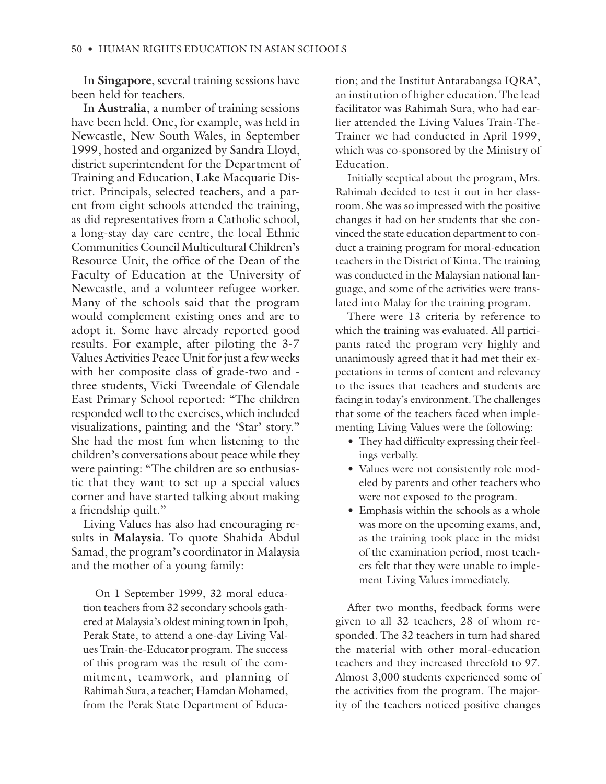In **Singapore**, several training sessions have been held for teachers.

In **Australia**, a number of training sessions have been held. One, for example, was held in Newcastle, New South Wales, in September 1999, hosted and organized by Sandra Lloyd, district superintendent for the Department of Training and Education, Lake Macquarie District. Principals, selected teachers, and a parent from eight schools attended the training, as did representatives from a Catholic school, a long-stay day care centre, the local Ethnic Communities Council Multicultural Children's Resource Unit, the office of the Dean of the Faculty of Education at the University of Newcastle, and a volunteer refugee worker. Many of the schools said that the program would complement existing ones and are to adopt it. Some have already reported good results. For example, after piloting the 3-7 Values Activities Peace Unit for just a few weeks with her composite class of grade-two and three students, Vicki Tweendale of Glendale East Primary School reported: "The children responded well to the exercises, which included visualizations, painting and the 'Star' story." She had the most fun when listening to the children's conversations about peace while they were painting: "The children are so enthusiastic that they want to set up a special values corner and have started talking about making a friendship quilt."

Living Values has also had encouraging results in **Malaysia**. To quote Shahida Abdul Samad, the program's coordinator in Malaysia and the mother of a young family:

On 1 September 1999, 32 moral education teachers from 32 secondary schools gathered at Malaysia's oldest mining town in Ipoh, Perak State, to attend a one-day Living Values Train-the-Educator program. The success of this program was the result of the commitment, teamwork, and planning of Rahimah Sura, a teacher; Hamdan Mohamed, from the Perak State Department of Education; and the Institut Antarabangsa IQRA', an institution of higher education. The lead facilitator was Rahimah Sura, who had earlier attended the Living Values Train-The-Trainer we had conducted in April 1999, which was co-sponsored by the Ministry of Education.

Initially sceptical about the program, Mrs. Rahimah decided to test it out in her classroom. She was so impressed with the positive changes it had on her students that she convinced the state education department to conduct a training program for moral-education teachers in the District of Kinta. The training was conducted in the Malaysian national language, and some of the activities were translated into Malay for the training program.

There were 13 criteria by reference to which the training was evaluated. All participants rated the program very highly and unanimously agreed that it had met their expectations in terms of content and relevancy to the issues that teachers and students are facing in today's environment. The challenges that some of the teachers faced when implementing Living Values were the following:

- They had difficulty expressing their feelings verbally.
- Values were not consistently role modeled by parents and other teachers who were not exposed to the program.
- Emphasis within the schools as a whole was more on the upcoming exams, and, as the training took place in the midst of the examination period, most teachers felt that they were unable to implement Living Values immediately.

After two months, feedback forms were given to all 32 teachers, 28 of whom responded. The 32 teachers in turn had shared the material with other moral-education teachers and they increased threefold to 97. Almost 3,000 students experienced some of the activities from the program. The majority of the teachers noticed positive changes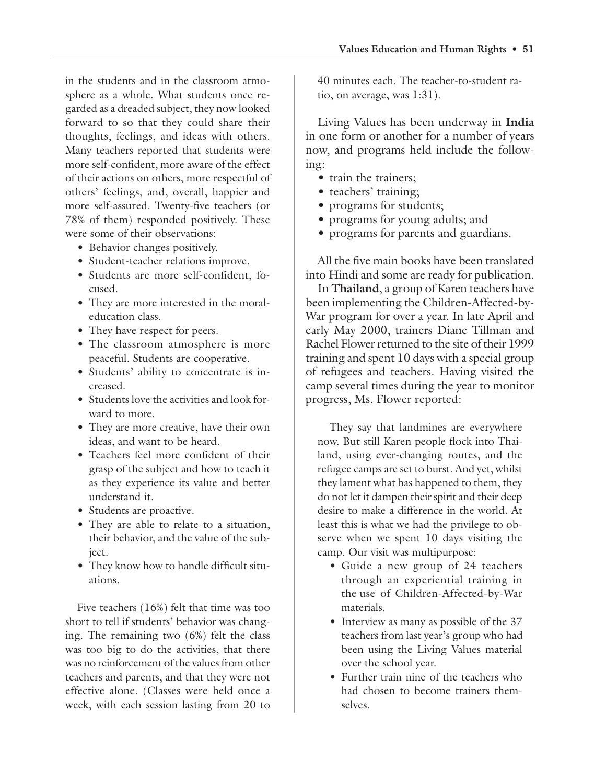in the students and in the classroom atmosphere as a whole. What students once regarded as a dreaded subject, they now looked forward to so that they could share their thoughts, feelings, and ideas with others. Many teachers reported that students were more self-confident, more aware of the effect of their actions on others, more respectful of others' feelings, and, overall, happier and more self-assured. Twenty-five teachers (or 78% of them) responded positively. These were some of their observations:

- Behavior changes positively.
- Student-teacher relations improve.
- Students are more self-confident, focused.
- They are more interested in the moraleducation class.
- They have respect for peers.
- The classroom atmosphere is more peaceful. Students are cooperative.
- Students' ability to concentrate is increased.
- Students love the activities and look forward to more.
- They are more creative, have their own ideas, and want to be heard.
- Teachers feel more confident of their grasp of the subject and how to teach it as they experience its value and better understand it.
- Students are proactive.
- They are able to relate to a situation, their behavior, and the value of the subject.
- They know how to handle difficult situations.

Five teachers (16%) felt that time was too short to tell if students' behavior was changing. The remaining two (6%) felt the class was too big to do the activities, that there was no reinforcement of the values from other teachers and parents, and that they were not effective alone. (Classes were held once a week, with each session lasting from 20 to

40 minutes each. The teacher-to-student ratio, on average, was 1:31).

Living Values has been underway in **India** in one form or another for a number of years now, and programs held include the following:

- train the trainers;
- teachers' training;
- programs for students;
- programs for young adults; and
- programs for parents and guardians.

All the five main books have been translated into Hindi and some are ready for publication.

In **Thailand**, a group of Karen teachers have been implementing the Children-Affected-by-War program for over a year. In late April and early May 2000, trainers Diane Tillman and Rachel Flower returned to the site of their 1999 training and spent 10 days with a special group of refugees and teachers. Having visited the camp several times during the year to monitor progress, Ms. Flower reported:

They say that landmines are everywhere now. But still Karen people flock into Thailand, using ever-changing routes, and the refugee camps are set to burst. And yet, whilst they lament what has happened to them, they do not let it dampen their spirit and their deep desire to make a difference in the world. At least this is what we had the privilege to observe when we spent 10 days visiting the camp. Our visit was multipurpose:

- Guide a new group of 24 teachers through an experiential training in the use of Children-Affected-by-War materials.
- Interview as many as possible of the 37 teachers from last year's group who had been using the Living Values material over the school year.
- Further train nine of the teachers who had chosen to become trainers themselves.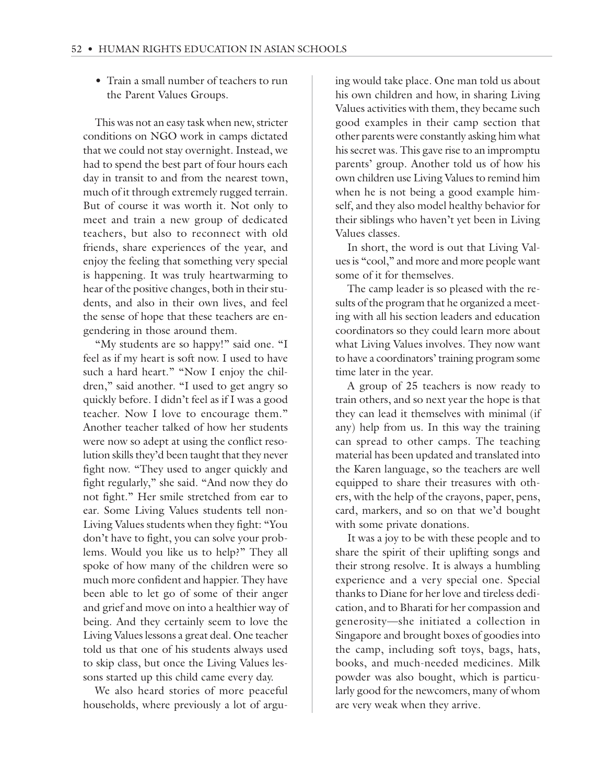• Train a small number of teachers to run the Parent Values Groups.

This was not an easy task when new, stricter conditions on NGO work in camps dictated that we could not stay overnight. Instead, we had to spend the best part of four hours each day in transit to and from the nearest town, much of it through extremely rugged terrain. But of course it was worth it. Not only to meet and train a new group of dedicated teachers, but also to reconnect with old friends, share experiences of the year, and enjoy the feeling that something very special is happening. It was truly heartwarming to hear of the positive changes, both in their students, and also in their own lives, and feel the sense of hope that these teachers are engendering in those around them.

"My students are so happy!" said one. "I feel as if my heart is soft now. I used to have such a hard heart." "Now I enjoy the children," said another. "I used to get angry so quickly before. I didn't feel as if I was a good teacher. Now I love to encourage them." Another teacher talked of how her students were now so adept at using the conflict resolution skills they'd been taught that they never fight now. "They used to anger quickly and fight regularly," she said. "And now they do not fight." Her smile stretched from ear to ear. Some Living Values students tell non-Living Values students when they fight: "You don't have to fight, you can solve your problems. Would you like us to help?" They all spoke of how many of the children were so much more confident and happier. They have been able to let go of some of their anger and grief and move on into a healthier way of being. And they certainly seem to love the Living Values lessons a great deal. One teacher told us that one of his students always used to skip class, but once the Living Values lessons started up this child came every day.

We also heard stories of more peaceful households, where previously a lot of arguing would take place. One man told us about his own children and how, in sharing Living Values activities with them, they became such good examples in their camp section that other parents were constantly asking him what his secret was. This gave rise to an impromptu parents' group. Another told us of how his own children use Living Values to remind him when he is not being a good example himself, and they also model healthy behavior for their siblings who haven't yet been in Living Values classes.

In short, the word is out that Living Values is "cool," and more and more people want some of it for themselves.

The camp leader is so pleased with the results of the program that he organized a meeting with all his section leaders and education coordinators so they could learn more about what Living Values involves. They now want to have a coordinators' training program some time later in the year.

A group of 25 teachers is now ready to train others, and so next year the hope is that they can lead it themselves with minimal (if any) help from us. In this way the training can spread to other camps. The teaching material has been updated and translated into the Karen language, so the teachers are well equipped to share their treasures with others, with the help of the crayons, paper, pens, card, markers, and so on that we'd bought with some private donations.

It was a joy to be with these people and to share the spirit of their uplifting songs and their strong resolve. It is always a humbling experience and a very special one. Special thanks to Diane for her love and tireless dedication, and to Bharati for her compassion and generosity—she initiated a collection in Singapore and brought boxes of goodies into the camp, including soft toys, bags, hats, books, and much-needed medicines. Milk powder was also bought, which is particularly good for the newcomers, many of whom are very weak when they arrive.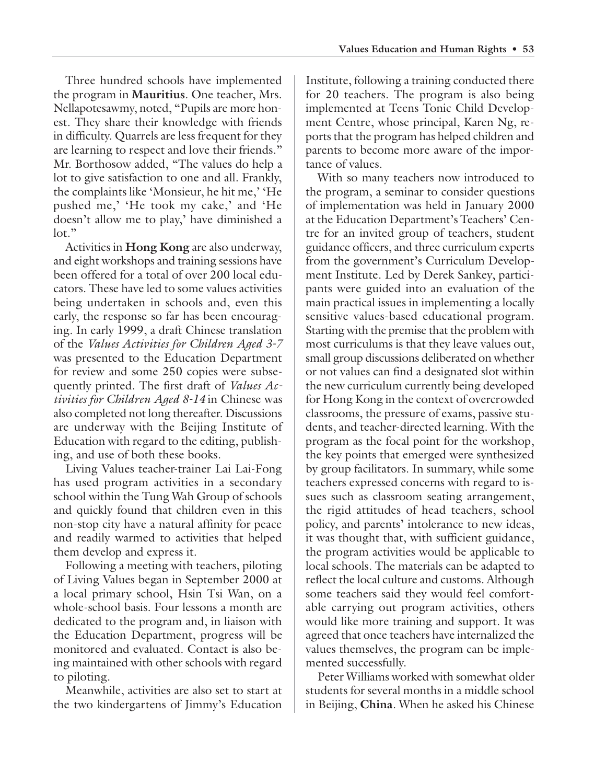Three hundred schools have implemented the program in **Mauritius**. One teacher, Mrs. Nellapotesawmy, noted, "Pupils are more honest. They share their knowledge with friends in difficulty. Quarrels are less frequent for they are learning to respect and love their friends." Mr. Borthosow added, "The values do help a lot to give satisfaction to one and all. Frankly, the complaints like 'Monsieur, he hit me,' 'He pushed me,' 'He took my cake,' and 'He doesn't allow me to play,' have diminished a  $\ln$ "

Activities in **Hong Kong** are also underway, and eight workshops and training sessions have been offered for a total of over 200 local educators. These have led to some values activities being undertaken in schools and, even this early, the response so far has been encouraging. In early 1999, a draft Chinese translation of the *Values Activities for Children Aged 3-7* was presented to the Education Department for review and some 250 copies were subsequently printed. The first draft of *Values Activities for Children Aged 8-14* in Chinese was also completed not long thereafter. Discussions are underway with the Beijing Institute of Education with regard to the editing, publishing, and use of both these books.

Living Values teacher-trainer Lai Lai-Fong has used program activities in a secondary school within the Tung Wah Group of schools and quickly found that children even in this non-stop city have a natural affinity for peace and readily warmed to activities that helped them develop and express it.

Following a meeting with teachers, piloting of Living Values began in September 2000 at a local primary school, Hsin Tsi Wan, on a whole-school basis. Four lessons a month are dedicated to the program and, in liaison with the Education Department, progress will be monitored and evaluated. Contact is also being maintained with other schools with regard to piloting.

Meanwhile, activities are also set to start at the two kindergartens of Jimmy's Education Institute, following a training conducted there for 20 teachers. The program is also being implemented at Teens Tonic Child Development Centre, whose principal, Karen Ng, reports that the program has helped children and parents to become more aware of the importance of values.

With so many teachers now introduced to the program, a seminar to consider questions of implementation was held in January 2000 at the Education Department's Teachers' Centre for an invited group of teachers, student guidance officers, and three curriculum experts from the government's Curriculum Development Institute. Led by Derek Sankey, participants were guided into an evaluation of the main practical issues in implementing a locally sensitive values-based educational program. Starting with the premise that the problem with most curriculums is that they leave values out, small group discussions deliberated on whether or not values can find a designated slot within the new curriculum currently being developed for Hong Kong in the context of overcrowded classrooms, the pressure of exams, passive students, and teacher-directed learning. With the program as the focal point for the workshop, the key points that emerged were synthesized by group facilitators. In summary, while some teachers expressed concerns with regard to issues such as classroom seating arrangement, the rigid attitudes of head teachers, school policy, and parents' intolerance to new ideas, it was thought that, with sufficient guidance, the program activities would be applicable to local schools. The materials can be adapted to reflect the local culture and customs. Although some teachers said they would feel comfortable carrying out program activities, others would like more training and support. It was agreed that once teachers have internalized the values themselves, the program can be implemented successfully.

Peter Williams worked with somewhat older students for several months in a middle school in Beijing, **China**. When he asked his Chinese